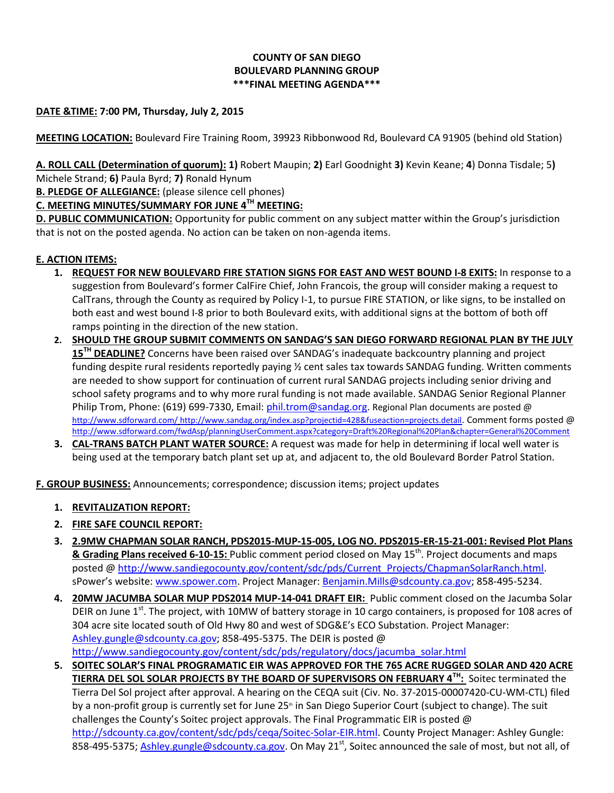## **COUNTY OF SAN DIEGO BOULEVARD PLANNING GROUP \*\*\*FINAL MEETING AGENDA\*\*\***

## **DATE &TIME: 7:00 PM, Thursday, July 2, 2015**

**MEETING LOCATION:** Boulevard Fire Training Room, 39923 Ribbonwood Rd, Boulevard CA 91905 (behind old Station)

**A. ROLL CALL (Determination of quorum): 1)** Robert Maupin; **2)** Earl Goodnight **3)** Kevin Keane; **4**) Donna Tisdale; 5**)**  Michele Strand; **6)** Paula Byrd; **7)** Ronald Hynum

**B. PLEDGE OF ALLEGIANCE:** (please silence cell phones)

**C. MEETING MINUTES/SUMMARY FOR JUNE 4TH MEETING:**

**D. PUBLIC COMMUNICATION:** Opportunity for public comment on any subject matter within the Group's jurisdiction that is not on the posted agenda. No action can be taken on non-agenda items.

## **E. ACTION ITEMS:**

- **1. REQUEST FOR NEW BOULEVARD FIRE STATION SIGNS FOR EAST AND WEST BOUND I-8 EXITS:** In response to a suggestion from Boulevard's former CalFire Chief, John Francois, the group will consider making a request to CalTrans, through the County as required by Policy I-1, to pursue FIRE STATION, or like signs, to be installed on both east and west bound I-8 prior to both Boulevard exits, with additional signs at the bottom of both off ramps pointing in the direction of the new station.
- **2. SHOULD THE GROUP SUBMIT COMMENTS ON SANDAG'S SAN DIEGO FORWARD REGIONAL PLAN BY THE JULY 15TH DEADLINE?** Concerns have been raised over SANDAG's inadequate backcountry planning and project funding despite rural residents reportedly paying ½ cent sales tax towards SANDAG funding. Written comments are needed to show support for continuation of current rural SANDAG projects including senior driving and school safety programs and to why more rural funding is not made available. SANDAG Senior Regional Planner Philip Trom, Phone: (619) 699-7330, Email: [phil.trom@sandag.org.](mailto:phil.trom@sandag.org) Regional Plan documents are posted @ <http://www.sdforward.com/> <http://www.sandag.org/index.asp?projectid=428&fuseaction=projects.detail>. Comment forms posted @ <http://www.sdforward.com/fwdAsp/planningUserComment.aspx?category=Draft%20Regional%20Plan&chapter=General%20Comment>
- **3. CAL-TRANS BATCH PLANT WATER SOURCE:** A request was made for help in determining if local well water is being used at the temporary batch plant set up at, and adjacent to, the old Boulevard Border Patrol Station.

**F. GROUP BUSINESS:** Announcements; correspondence; discussion items; project updates

- **1. REVITALIZATION REPORT:**
- **2. FIRE SAFE COUNCIL REPORT:**
- **3. 2.9MW CHAPMAN SOLAR RANCH, PDS2015-MUP-15-005, LOG NO. PDS2015-ER-15-21-001: Revised Plot Plans & Grading Plans received 6-10-15:** Public comment period closed on May 15<sup>th</sup>. Project documents and maps posted @ [http://www.sandiegocounty.gov/content/sdc/pds/Current\\_Projects/ChapmanSolarRanch.html.](http://www.sandiegocounty.gov/content/sdc/pds/Current_Projects/ChapmanSolarRanch.html) sPower's website: [www.spower.com.](http://www.spower.com/) Project Manager[: Benjamin.Mills@sdcounty.ca.gov;](mailto:Benjamin.Mills@sdcounty.ca.gov) [858-495-5234.](tel:%28858%29%20495-5234)
- **4. 20MW JACUMBA SOLAR MUP PDS2014 MUP-14-041 DRAFT EIR:** Public comment closed on the Jacumba Solar DEIR on June 1<sup>st</sup>. The project, with 10MW of battery storage in 10 cargo containers, is proposed for 108 acres of 304 acre site located south of Old Hwy 80 and west of SDG&E's ECO Substation. Project Manager: [Ashley.gungle@sdcounty.ca.gov;](mailto:Ashley.gungle@sdcounty.ca.gov) [858-495-5375.](tel:858.495.5375) The DEIR is posted @ [http://www.sandiegocounty.gov/content/sdc/pds/regulatory/docs/jacumba\\_solar.html](http://www.sandiegocounty.gov/content/sdc/pds/regulatory/docs/jacumba_solar.html)
- **5. SOITEC SOLAR'S FINAL PROGRAMATIC EIR WAS APPROVED FOR THE 765 ACRE RUGGED SOLAR AND 420 ACRE TIERRA DEL SOL SOLAR PROJECTS BY THE BOARD OF SUPERVISORS ON FEBRUARY 4TH:** Soitec terminated the Tierra Del Sol project after approval. A hearing on the CEQA suit (Civ. No. 37-2015-00007420-CU-WM-CTL) filed by a non-profit group is currently set for June 25<sup>th</sup> in San Diego Superior Court (subject to change). The suit challenges the County's Soitec project approvals. The Final Programmatic EIR is posted  $\omega$ [http://sdcounty.ca.gov/content/sdc/pds/ceqa/Soitec-Solar-EIR.html.](http://sdcounty.ca.gov/content/sdc/pds/ceqa/Soitec-Solar-EIR.html) County Project Manager: Ashley Gungle: 858-495-5375; [Ashley.gungle@sdcounty.ca.gov.](mailto:Ashley.gungle@sdcounty.ca.gov) On May 21<sup>st</sup>, Soitec announced the sale of most, but not all, of